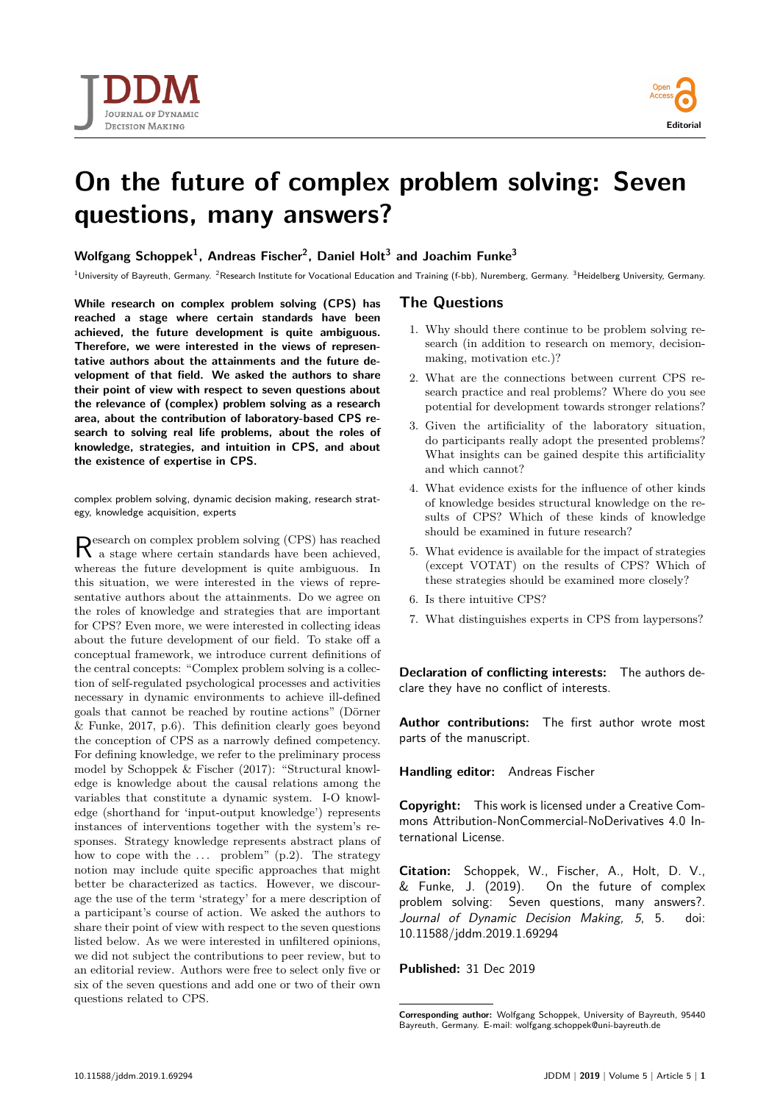



## **On the future of complex problem solving: Seven questions, many answers?**

**Wolfgang Schoppek<sup>1</sup> , Andreas Fischer<sup>2</sup> , Daniel Holt<sup>3</sup> and Joachim Funke<sup>3</sup>**

 $1$ University of Bayreuth, Germany. <sup>2</sup>Research Institute for Vocational Education and Training (f-bb), Nuremberg, Germany. <sup>3</sup>Heidelberg University, Germany

**While research on complex problem solving (CPS) has reached a stage where certain standards have been achieved, the future development is quite ambiguous. Therefore, we were interested in the views of representative authors about the attainments and the future development of that field. We asked the authors to share their point of view with respect to seven questions about the relevance of (complex) problem solving as a research area, about the contribution of laboratory-based CPS research to solving real life problems, about the roles of knowledge, strategies, and intuition in CPS, and about the existence of expertise in CPS.**

complex problem solving, dynamic decision making, research strategy, knowledge acquisition, experts

Research on complex problem solving (CPS) has reached a stage where certain standards have been achieved, a stage where certain standards have been achieved, whereas the future development is quite ambiguous. In this situation, we were interested in the views of representative authors about the attainments. Do we agree on the roles of knowledge and strategies that are important for CPS? Even more, we were interested in collecting ideas about the future development of our field. To stake off a conceptual framework, we introduce current definitions of the central concepts: "Complex problem solving is a collection of self-regulated psychological processes and activities necessary in dynamic environments to achieve ill-defined goals that cannot be reached by routine actions" [\(Dörner](#page-1-0) [& Funke, 2017, p.6\)](#page-1-0). This definition clearly goes beyond the conception of CPS as a narrowly defined competency. For defining knowledge, we refer to the preliminary process model by [Schoppek & Fischer \(2017\):](#page-1-0) "Structural knowledge is knowledge about the causal relations among the variables that constitute a dynamic system. I-O knowledge (shorthand for 'input-output knowledge') represents instances of interventions together with the system's responses. Strategy knowledge represents abstract plans of how to cope with the  $\dots$  problem" (p.2). The strategy notion may include quite specific approaches that might better be characterized as tactics. However, we discourage the use of the term 'strategy' for a mere description of a participant's course of action. We asked the authors to share their point of view with respect to the seven questions listed below. As we were interested in unfiltered opinions, we did not subject the contributions to peer review, but to an editorial review. Authors were free to select only five or six of the seven questions and add one or two of their own questions related to CPS.

## **The Questions**

- 1. Why should there continue to be problem solving research (in addition to research on memory, decisionmaking, motivation etc.)?
- 2. What are the connections between current CPS research practice and real problems? Where do you see potential for development towards stronger relations?
- 3. Given the artificiality of the laboratory situation, do participants really adopt the presented problems? What insights can be gained despite this artificiality and which cannot?
- 4. What evidence exists for the influence of other kinds of knowledge besides structural knowledge on the results of CPS? Which of these kinds of knowledge should be examined in future research?
- 5. What evidence is available for the impact of strategies (except VOTAT) on the results of CPS? Which of these strategies should be examined more closely?
- 6. Is there intuitive CPS?
- 7. What distinguishes experts in CPS from laypersons?

**Declaration of conflicting interests:** The authors declare they have no conflict of interests.

**Author contributions:** The first author wrote most parts of the manuscript.

**Handling editor:** Andreas Fischer

**Copyright:** This work is licensed under a Creative Commons Attribution-NonCommercial-NoDerivatives 4.0 International License.

**Citation:** Schoppek, W., Fischer, A., Holt, D. V., & Funke, J. (2019). On the future of complex problem solving: Seven questions, many answers?. Journal of Dynamic Decision Making, 5, 5. doi: 10.11588/jddm.2019.1.69294

**Published:** 31 Dec 2019

**Corresponding author:** Wolfgang Schoppek, University of Bayreuth, 95440 Bayreuth, Germany. E-mail: [wolfgang.schoppek@uni-bayreuth.de](mailto:)